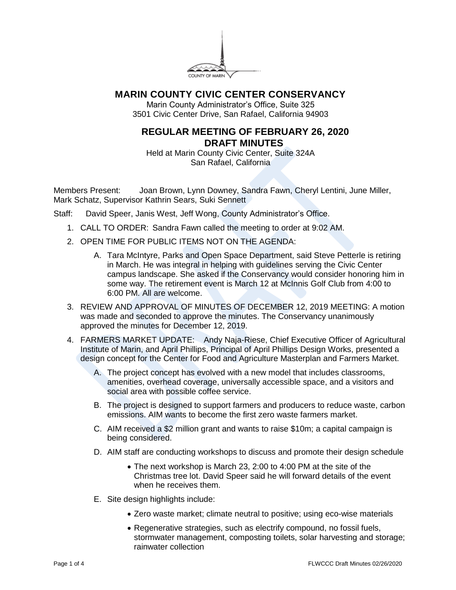

## **MARIN COUNTY CIVIC CENTER CONSERVANCY**

Marin County Administrator's Office, Suite 325 3501 Civic Center Drive, San Rafael, California 94903

## **REGULAR MEETING OF FEBRUARY 26, 2020 DRAFT MINUTES**

Held at Marin County Civic Center, Suite 324A San Rafael, California

Members Present: Joan Brown, Lynn Downey, Sandra Fawn, Cheryl Lentini, June Miller, Mark Schatz, Supervisor Kathrin Sears, Suki Sennett

Staff: David Speer, Janis West, Jeff Wong, County Administrator's Office.

- 1. CALL TO ORDER: Sandra Fawn called the meeting to order at 9:02 AM.
- 2. OPEN TIME FOR PUBLIC ITEMS NOT ON THE AGENDA:
	- A. Tara McIntyre, Parks and Open Space Department, said Steve Petterle is retiring in March. He was integral in helping with guidelines serving the Civic Center campus landscape. She asked if the Conservancy would consider honoring him in some way. The retirement event is March 12 at McInnis Golf Club from 4:00 to 6:00 PM. All are welcome.
- 3. REVIEW AND APPROVAL OF MINUTES OF DECEMBER 12, 2019 MEETING: A motion was made and seconded to approve the minutes. The Conservancy unanimously approved the minutes for December 12, 2019.
- 4. FARMERS MARKET UPDATE: Andy Naja-Riese, Chief Executive Officer of Agricultural Institute of Marin, and April Phillips, Principal of April Phillips Design Works, presented a design concept for the Center for Food and Agriculture Masterplan and Farmers Market.
	- A. The project concept has evolved with a new model that includes classrooms, amenities, overhead coverage, universally accessible space, and a visitors and social area with possible coffee service.
	- B. The project is designed to support farmers and producers to reduce waste, carbon emissions. AIM wants to become the first zero waste farmers market.
	- C. AIM received a \$2 million grant and wants to raise \$10m; a capital campaign is being considered.
	- D. AIM staff are conducting workshops to discuss and promote their design schedule
		- The next workshop is March 23, 2:00 to 4:00 PM at the site of the Christmas tree lot. David Speer said he will forward details of the event when he receives them.
	- E. Site design highlights include:
		- Zero waste market; climate neutral to positive; using eco-wise materials
		- Regenerative strategies, such as electrify compound, no fossil fuels, stormwater management, composting toilets, solar harvesting and storage; rainwater collection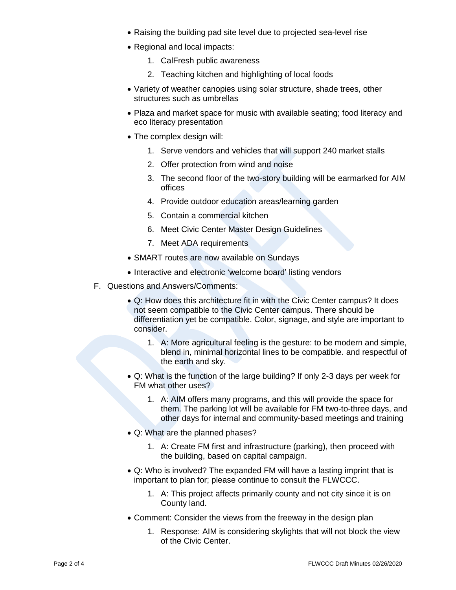- Raising the building pad site level due to projected sea-level rise
- Regional and local impacts:
	- 1. CalFresh public awareness
	- 2. Teaching kitchen and highlighting of local foods
- Variety of weather canopies using solar structure, shade trees, other structures such as umbrellas
- Plaza and market space for music with available seating; food literacy and eco literacy presentation
- The complex design will:
	- 1. Serve vendors and vehicles that will support 240 market stalls
	- 2. Offer protection from wind and noise
	- 3. The second floor of the two-story building will be earmarked for AIM offices
	- 4. Provide outdoor education areas/learning garden
	- 5. Contain a commercial kitchen
	- 6. Meet Civic Center Master Design Guidelines
	- 7. Meet ADA requirements
- SMART routes are now available on Sundays
- Interactive and electronic 'welcome board' listing vendors
- F. Questions and Answers/Comments:
	- Q: How does this architecture fit in with the Civic Center campus? It does not seem compatible to the Civic Center campus. There should be differentiation yet be compatible. Color, signage, and style are important to consider.
		- 1. A: More agricultural feeling is the gesture: to be modern and simple, blend in, minimal horizontal lines to be compatible. and respectful of the earth and sky.
	- Q: What is the function of the large building? If only 2-3 days per week for FM what other uses?
		- 1. A: AIM offers many programs, and this will provide the space for them. The parking lot will be available for FM two-to-three days, and other days for internal and community-based meetings and training
	- Q: What are the planned phases?
		- 1. A: Create FM first and infrastructure (parking), then proceed with the building, based on capital campaign.
	- Q: Who is involved? The expanded FM will have a lasting imprint that is important to plan for; please continue to consult the FLWCCC.
		- 1. A: This project affects primarily county and not city since it is on County land.
	- Comment: Consider the views from the freeway in the design plan
		- 1. Response: AIM is considering skylights that will not block the view of the Civic Center.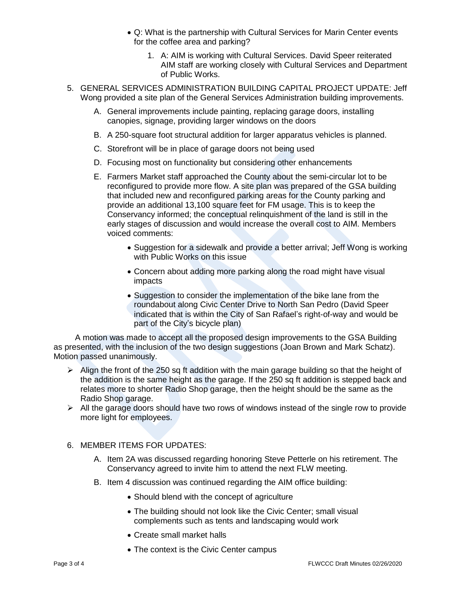- Q: What is the partnership with Cultural Services for Marin Center events for the coffee area and parking?
	- 1. A: AIM is working with Cultural Services. David Speer reiterated AIM staff are working closely with Cultural Services and Department of Public Works.
- 5. GENERAL SERVICES ADMINISTRATION BUILDING CAPITAL PROJECT UPDATE: Jeff Wong provided a site plan of the General Services Administration building improvements.
	- A. General improvements include painting, replacing garage doors, installing canopies, signage, providing larger windows on the doors
	- B. A 250-square foot structural addition for larger apparatus vehicles is planned.
	- C. Storefront will be in place of garage doors not being used
	- D. Focusing most on functionality but considering other enhancements
	- E. Farmers Market staff approached the County about the semi-circular lot to be reconfigured to provide more flow. A site plan was prepared of the GSA building that included new and reconfigured parking areas for the County parking and provide an additional 13,100 square feet for FM usage. This is to keep the Conservancy informed; the conceptual relinquishment of the land is still in the early stages of discussion and would increase the overall cost to AIM. Members voiced comments:
		- Suggestion for a sidewalk and provide a better arrival; Jeff Wong is working with Public Works on this issue
		- Concern about adding more parking along the road might have visual impacts
		- Suggestion to consider the implementation of the bike lane from the roundabout along Civic Center Drive to North San Pedro (David Speer indicated that is within the City of San Rafael's right-of-way and would be part of the City's bicycle plan)

A motion was made to accept all the proposed design improvements to the GSA Building as presented, with the inclusion of the two design suggestions (Joan Brown and Mark Schatz). Motion passed unanimously.

- $\triangleright$  Align the front of the 250 sq ft addition with the main garage building so that the height of the addition is the same height as the garage. If the 250 sq ft addition is stepped back and relates more to shorter Radio Shop garage, then the height should be the same as the Radio Shop garage.
- $\triangleright$  All the garage doors should have two rows of windows instead of the single row to provide more light for employees.

## 6. MEMBER ITEMS FOR UPDATES:

- A. Item 2A was discussed regarding honoring Steve Petterle on his retirement. The Conservancy agreed to invite him to attend the next FLW meeting.
- B. Item 4 discussion was continued regarding the AIM office building:
	- Should blend with the concept of agriculture
	- The building should not look like the Civic Center; small visual complements such as tents and landscaping would work
	- Create small market halls
	- The context is the Civic Center campus